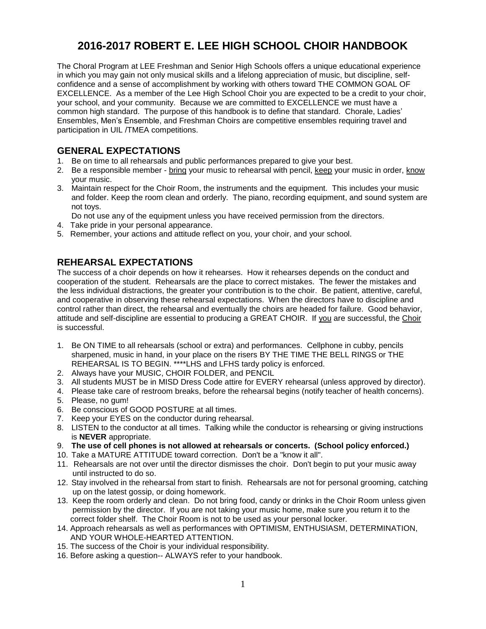# **2016-2017 ROBERT E. LEE HIGH SCHOOL CHOIR HANDBOOK**

The Choral Program at LEE Freshman and Senior High Schools offers a unique educational experience in which you may gain not only musical skills and a lifelong appreciation of music, but discipline, selfconfidence and a sense of accomplishment by working with others toward THE COMMON GOAL OF EXCELLENCE. As a member of the Lee High School Choir you are expected to be a credit to your choir, your school, and your community. Because we are committed to EXCELLENCE we must have a common high standard. The purpose of this handbook is to define that standard. Chorale, Ladies' Ensembles, Men's Ensemble, and Freshman Choirs are competitive ensembles requiring travel and participation in UIL /TMEA competitions.

## **GENERAL EXPECTATIONS**

- 1. Be on time to all rehearsals and public performances prepared to give your best.
- 2. Be a responsible member bring your music to rehearsal with pencil, keep your music in order, know your music.
- 3. Maintain respect for the Choir Room, the instruments and the equipment. This includes your music and folder. Keep the room clean and orderly. The piano, recording equipment, and sound system are not toys.

Do not use any of the equipment unless you have received permission from the directors.

- 4. Take pride in your personal appearance.
- 5. Remember, your actions and attitude reflect on you, your choir, and your school.

## **REHEARSAL EXPECTATIONS**

The success of a choir depends on how it rehearses. How it rehearses depends on the conduct and cooperation of the student. Rehearsals are the place to correct mistakes. The fewer the mistakes and the less individual distractions, the greater your contribution is to the choir. Be patient, attentive, careful, and cooperative in observing these rehearsal expectations. When the directors have to discipline and control rather than direct, the rehearsal and eventually the choirs are headed for failure. Good behavior, attitude and self-discipline are essential to producing a GREAT CHOIR. If you are successful, the Choir is successful.

- 1. Be ON TIME to all rehearsals (school or extra) and performances. Cellphone in cubby, pencils sharpened, music in hand, in your place on the risers BY THE TIME THE BELL RINGS or THE REHEARSAL IS TO BEGIN. \*\*\*\*LHS and LFHS tardy policy is enforced.
- 2. Always have your MUSIC, CHOIR FOLDER, and PENCIL
- 3. All students MUST be in MISD Dress Code attire for EVERY rehearsal (unless approved by director).
- 4. Please take care of restroom breaks, before the rehearsal begins (notify teacher of health concerns).
- 5. Please, no gum!
- 6. Be conscious of GOOD POSTURE at all times.
- 7. Keep your EYES on the conductor during rehearsal.
- 8. LISTEN to the conductor at all times. Talking while the conductor is rehearsing or giving instructions is **NEVER** appropriate.
- 9. **The use of cell phones is not allowed at rehearsals or concerts. (School policy enforced.)**
- 10. Take a MATURE ATTITUDE toward correction. Don't be a "know it all".
- 11. Rehearsals are not over until the director dismisses the choir. Don't begin to put your music away until instructed to do so.
- 12. Stay involved in the rehearsal from start to finish. Rehearsals are not for personal grooming, catching up on the latest gossip, or doing homework.
- 13. Keep the room orderly and clean. Do not bring food, candy or drinks in the Choir Room unless given permission by the director. If you are not taking your music home, make sure you return it to the correct folder shelf. The Choir Room is not to be used as your personal locker.
- 14. Approach rehearsals as well as performances with OPTIMISM, ENTHUSIASM, DETERMINATION, AND YOUR WHOLE-HEARTED ATTENTION.
- 15. The success of the Choir is your individual responsibility.
- 16. Before asking a question-- ALWAYS refer to your handbook.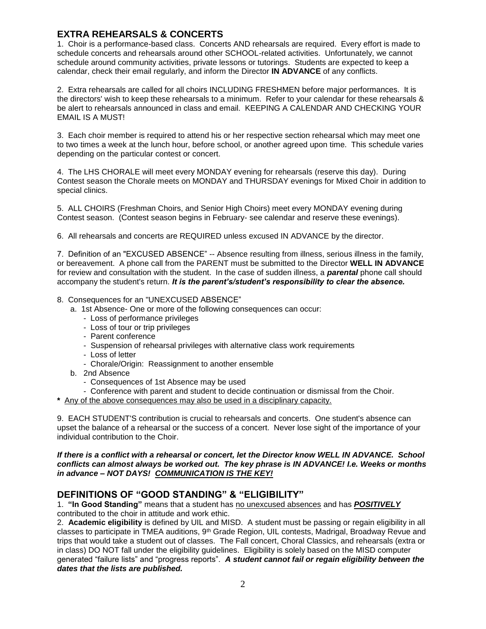## **EXTRA REHEARSALS & CONCERTS**

1. Choir is a performance-based class. Concerts AND rehearsals are required. Every effort is made to schedule concerts and rehearsals around other SCHOOL-related activities. Unfortunately, we cannot schedule around community activities, private lessons or tutorings. Students are expected to keep a calendar, check their email regularly, and inform the Director **IN ADVANCE** of any conflicts.

2. Extra rehearsals are called for all choirs INCLUDING FRESHMEN before major performances. It is the directors' wish to keep these rehearsals to a minimum. Refer to your calendar for these rehearsals & be alert to rehearsals announced in class and email. KEEPING A CALENDAR AND CHECKING YOUR EMAIL IS A MUST!

3. Each choir member is required to attend his or her respective section rehearsal which may meet one to two times a week at the lunch hour, before school, or another agreed upon time. This schedule varies depending on the particular contest or concert.

4. The LHS CHORALE will meet every MONDAY evening for rehearsals (reserve this day). During Contest season the Chorale meets on MONDAY and THURSDAY evenings for Mixed Choir in addition to special clinics.

5. ALL CHOIRS (Freshman Choirs, and Senior High Choirs) meet every MONDAY evening during Contest season. (Contest season begins in February- see calendar and reserve these evenings).

6. All rehearsals and concerts are REQUIRED unless excused IN ADVANCE by the director.

7. Definition of an "EXCUSED ABSENCE" -- Absence resulting from illness, serious illness in the family, or bereavement. A phone call from the PARENT must be submitted to the Director **WELL IN ADVANCE** for review and consultation with the student. In the case of sudden illness, a *parental* phone call should accompany the student's return. *It is the parent's/student's responsibility to clear the absence.*

#### 8. Consequences for an "UNEXCUSED ABSENCE"

- a. 1st Absence- One or more of the following consequences can occur:
	- Loss of performance privileges
	- Loss of tour or trip privileges
	- Parent conference
	- Suspension of rehearsal privileges with alternative class work requirements
	- Loss of letter
	- Chorale/Origin: Reassignment to another ensemble
- b. 2nd Absence
	- Consequences of 1st Absence may be used
- Conference with parent and student to decide continuation or dismissal from the Choir.
- **\*** Any of the above consequences may also be used in a disciplinary capacity.

9. EACH STUDENT'S contribution is crucial to rehearsals and concerts. One student's absence can upset the balance of a rehearsal or the success of a concert. Never lose sight of the importance of your individual contribution to the Choir.

#### *If there is a conflict with a rehearsal or concert, let the Director know WELL IN ADVANCE. School conflicts can almost always be worked out. The key phrase is IN ADVANCE! I.e. Weeks or months in advance – NOT DAYS! COMMUNICATION IS THE KEY!*

## **DEFINITIONS OF "GOOD STANDING" & "ELIGIBILITY"**

1. **"In Good Standing"** means that a student has no unexcused absences and has *POSITIVELY* contributed to the choir in attitude and work ethic.

2. **Academic eligibility** is defined by UIL and MISD. A student must be passing or regain eligibility in all classes to participate in TMEA auditions, 9th Grade Region, UIL contests, Madrigal, Broadway Revue and trips that would take a student out of classes. The Fall concert, Choral Classics, and rehearsals (extra or in class) DO NOT fall under the eligibility guidelines. Eligibility is solely based on the MISD computer generated "failure lists" and "progress reports". *A student cannot fail or regain eligibility between the dates that the lists are published.*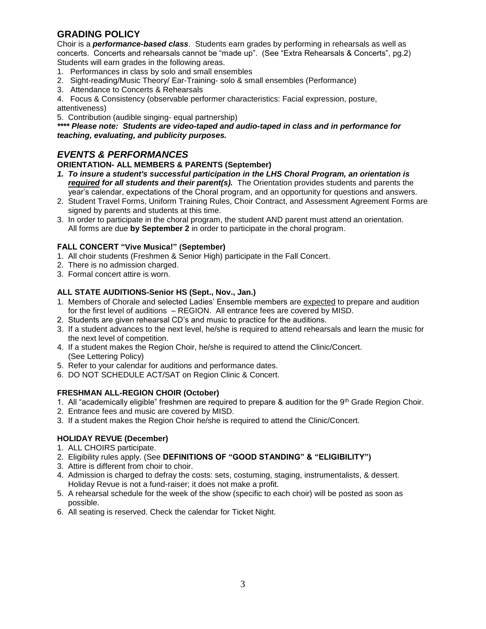## **GRADING POLICY**

Choir is a *performance-based class*. Students earn grades by performing in rehearsals as well as concerts. Concerts and rehearsals cannot be "made up". (See "Extra Rehearsals & Concerts", pg.2) Students will earn grades in the following areas.

- 1. Performances in class by solo and small ensembles
- 2. Sight-reading/Music Theory/ Ear-Training- solo & small ensembles (Performance)
- 3. Attendance to Concerts & Rehearsals
- 4. Focus & Consistency (observable performer characteristics: Facial expression, posture,

attentiveness)

5. Contribution (audible singing- equal partnership)

*\*\*\*\* Please note: Students are video-taped and audio-taped in class and in performance for teaching, evaluating, and publicity purposes.*

## *EVENTS & PERFORMANCES*

#### **ORIENTATION- ALL MEMBERS & PARENTS (September)**

- *1. To insure a student's successful participation in the LHS Choral Program, an orientation is required for all students and their parent(s).* The Orientation provides students and parents the year's calendar, expectations of the Choral program, and an opportunity for questions and answers.
- 2. Student Travel Forms, Uniform Training Rules, Choir Contract, and Assessment Agreement Forms are signed by parents and students at this time.
- 3. In order to participate in the choral program, the student AND parent must attend an orientation. All forms are due **by September 2** in order to participate in the choral program.

#### **FALL CONCERT "Vive Musica!" (September)**

- 1. All choir students (Freshmen & Senior High) participate in the Fall Concert.
- 2. There is no admission charged.
- 3. Formal concert attire is worn.

#### **ALL STATE AUDITIONS-Senior HS (Sept., Nov., Jan.)**

- 1. Members of Chorale and selected Ladies' Ensemble members are expected to prepare and audition for the first level of auditions – REGION. All entrance fees are covered by MISD.
- 2. Students are given rehearsal CD's and music to practice for the auditions.
- 3. If a student advances to the next level, he/she is required to attend rehearsals and learn the music for the next level of competition.
- 4. If a student makes the Region Choir, he/she is required to attend the Clinic/Concert. (See Lettering Policy)
- 5. Refer to your calendar for auditions and performance dates.
- 6. DO NOT SCHEDULE ACT/SAT on Region Clinic & Concert.

#### **FRESHMAN ALL-REGION CHOIR (October)**

- 1. All "academically eligible" freshmen are required to prepare & audition for the 9th Grade Region Choir.
- 2. Entrance fees and music are covered by MISD.
- 3. If a student makes the Region Choir he/she is required to attend the Clinic/Concert.

#### **HOLIDAY REVUE (December)**

- 1. ALL CHOIRS participate.
- 2. Eligibility rules apply. (See **DEFINITIONS OF "GOOD STANDING" & "ELIGIBILITY")**
- 3. Attire is different from choir to choir.
- 4. Admission is charged to defray the costs: sets, costuming, staging, instrumentalists, & dessert. Holiday Revue is not a fund-raiser; it does not make a profit.
- 5. A rehearsal schedule for the week of the show (specific to each choir) will be posted as soon as possible.
- 6. All seating is reserved. Check the calendar for Ticket Night.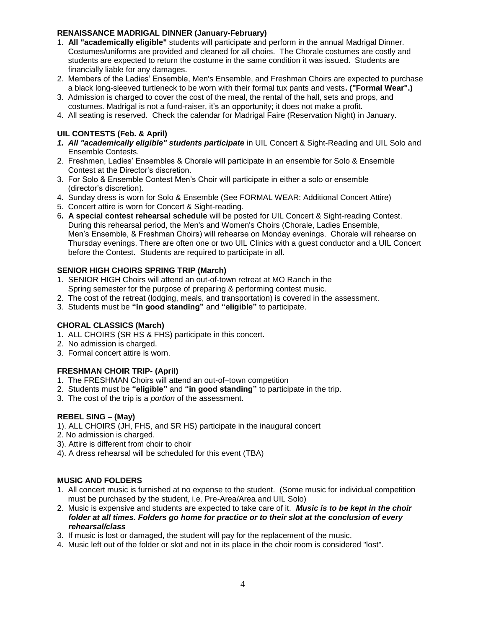#### **RENAISSANCE MADRIGAL DINNER (January-February)**

- 1. **All "academically eligible"** students will participate and perform in the annual Madrigal Dinner. Costumes/uniforms are provided and cleaned for all choirs. The Chorale costumes are costly and students are expected to return the costume in the same condition it was issued. Students are financially liable for any damages.
- 2. Members of the Ladies' Ensemble, Men's Ensemble, and Freshman Choirs are expected to purchase a black long-sleeved turtleneck to be worn with their formal tux pants and vests**. ("Formal Wear".)**
- 3. Admission is charged to cover the cost of the meal, the rental of the hall, sets and props, and costumes. Madrigal is not a fund-raiser, it's an opportunity; it does not make a profit.
- 4. All seating is reserved. Check the calendar for Madrigal Faire (Reservation Night) in January.

### **UIL CONTESTS (Feb. & April)**

- *1. All "academically eligible" students participate* in UIL Concert & Sight-Reading and UIL Solo and Ensemble Contests.
- 2. Freshmen, Ladies' Ensembles & Chorale will participate in an ensemble for Solo & Ensemble Contest at the Director's discretion.
- 3. For Solo & Ensemble Contest Men's Choir will participate in either a solo or ensemble (director's discretion).
- 4. Sunday dress is worn for Solo & Ensemble (See FORMAL WEAR: Additional Concert Attire)
- 5. Concert attire is worn for Concert & Sight-reading.
- 6**. A special contest rehearsal schedule** will be posted for UIL Concert & Sight-reading Contest. During this rehearsal period, the Men's and Women's Choirs (Chorale, Ladies Ensemble, Men's Ensemble, & Freshman Choirs) will rehearse on Monday evenings. Chorale will rehearse on Thursday evenings. There are often one or two UIL Clinics with a guest conductor and a UIL Concert before the Contest. Students are required to participate in all.

#### **SENIOR HIGH CHOIRS SPRING TRIP (March)**

- 1. SENIOR HIGH Choirs will attend an out-of-town retreat at MO Ranch in the Spring semester for the purpose of preparing & performing contest music.
- 2. The cost of the retreat (lodging, meals, and transportation) is covered in the assessment.
- 3. Students must be **"in good standing"** and **"eligible"** to participate.

#### **CHORAL CLASSICS (March)**

- 1. ALL CHOIRS (SR HS & FHS) participate in this concert.
- 2. No admission is charged.
- 3. Formal concert attire is worn.

#### **FRESHMAN CHOIR TRIP- (April)**

- 1. The FRESHMAN Choirs will attend an out-of–town competition
- 2. Students must be **"eligible"** and **"in good standing"** to participate in the trip.
- 3. The cost of the trip is a *portion* of the assessment.

#### **REBEL SING – (May)**

- 1). ALL CHOIRS (JH, FHS, and SR HS) participate in the inaugural concert
- 2. No admission is charged.
- 3). Attire is different from choir to choir
- 4). A dress rehearsal will be scheduled for this event (TBA)

#### **MUSIC AND FOLDERS**

- 1. All concert music is furnished at no expense to the student. (Some music for individual competition must be purchased by the student, i.e. Pre-Area/Area and UIL Solo)
- 2. Music is expensive and students are expected to take care of it. *Music is to be kept in the choir folder at all times. Folders go home for practice or to their slot at the conclusion of every rehearsal/class*
- 3. If music is lost or damaged, the student will pay for the replacement of the music.
- 4. Music left out of the folder or slot and not in its place in the choir room is considered "lost".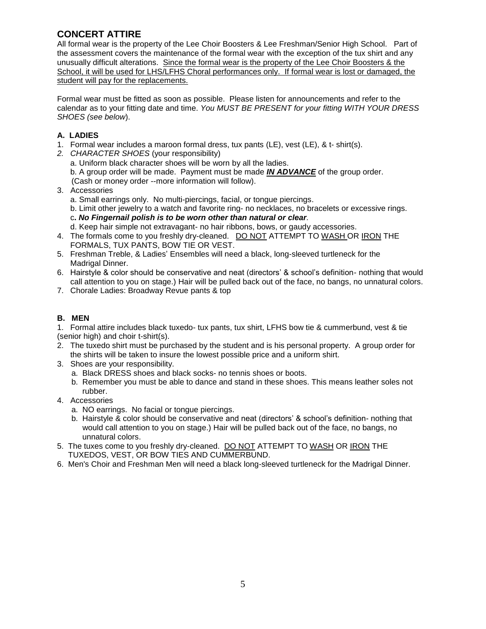## **CONCERT ATTIRE**

All formal wear is the property of the Lee Choir Boosters & Lee Freshman/Senior High School. Part of the assessment covers the maintenance of the formal wear with the exception of the tux shirt and any unusually difficult alterations. Since the formal wear is the property of the Lee Choir Boosters & the School, it will be used for LHS/LFHS Choral performances only. If formal wear is lost or damaged, the student will pay for the replacements.

Formal wear must be fitted as soon as possible. Please listen for announcements and refer to the calendar as to your fitting date and time. *You MUST BE PRESENT for your fitting WITH YOUR DRESS SHOES (see below*).

## **A. LADIES**

- 1. Formal wear includes a maroon formal dress, tux pants (LE), vest (LE), & t- shirt(s).
- *2. CHARACTER SHOES* (your responsibility)
	- a. Uniform black character shoes will be worn by all the ladies.
	- b. A group order will be made. Payment must be made *IN ADVANCE* of the group order.
	- (Cash or money order --more information will follow).
- 3. Accessories
	- a. Small earrings only. No multi-piercings, facial, or tongue piercings.
	- b. Limit other jewelry to a watch and favorite ring- no necklaces, no bracelets or excessive rings.
	- c**.** *No Fingernail polish is to be worn other than natural or clear.*
	- d. Keep hair simple not extravagant- no hair ribbons, bows, or gaudy accessories.
- 4. The formals come to you freshly dry-cleaned. DO NOT ATTEMPT TO WASH OR IRON THE FORMALS, TUX PANTS, BOW TIE OR VEST.
- 5. Freshman Treble, & Ladies' Ensembles will need a black, long-sleeved turtleneck for the Madrigal Dinner.
- 6. Hairstyle & color should be conservative and neat (directors' & school's definition- nothing that would call attention to you on stage.) Hair will be pulled back out of the face, no bangs, no unnatural colors.
- 7. Chorale Ladies: Broadway Revue pants & top

## **B. MEN**

1. Formal attire includes black tuxedo- tux pants, tux shirt, LFHS bow tie & cummerbund, vest & tie (senior high) and choir t-shirt(s).

- 2. The tuxedo shirt must be purchased by the student and is his personal property. A group order for the shirts will be taken to insure the lowest possible price and a uniform shirt.
- 3. Shoes are your responsibility.
	- a. Black DRESS shoes and black socks- no tennis shoes or boots.
	- b. Remember you must be able to dance and stand in these shoes. This means leather soles not rubber.
- 4. Accessories
	- a. NO earrings. No facial or tongue piercings.
	- b. Hairstyle & color should be conservative and neat (directors' & school's definition- nothing that would call attention to you on stage.) Hair will be pulled back out of the face, no bangs, no unnatural colors.
- 5. The tuxes come to you freshly dry-cleaned. DO NOT ATTEMPT TO WASH OR IRON THE TUXEDOS, VEST, OR BOW TIES AND CUMMERBUND.
- 6. Men's Choir and Freshman Men will need a black long-sleeved turtleneck for the Madrigal Dinner.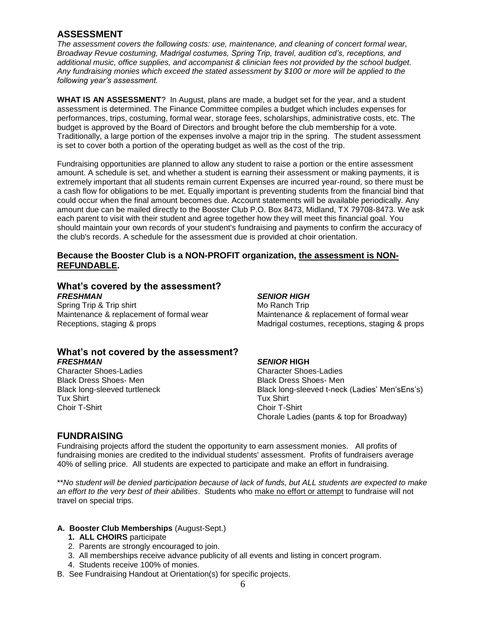## **ASSESSMENT**

*The assessment covers the following costs: use, maintenance, and cleaning of concert formal wear, Broadway Revue costuming, Madrigal costumes, Spring Trip, travel, audition cd's, receptions, and additional music, office supplies, and accompanist & clinician fees not provided by the school budget. Any fundraising monies which exceed the stated assessment by \$100 or more will be applied to the following year's assessment.* 

**WHAT IS AN ASSESSMENT**? In August, plans are made, a budget set for the year, and a student assessment is determined. The Finance Committee compiles a budget which includes expenses for performances, trips, costuming, formal wear, storage fees, scholarships, administrative costs, etc. The budget is approved by the Board of Directors and brought before the club membership for a vote. Traditionally, a large portion of the expenses involve a major trip in the spring. The student assessment is set to cover both a portion of the operating budget as well as the cost of the trip.

Fundraising opportunities are planned to allow any student to raise a portion or the entire assessment amount. A schedule is set, and whether a student is earning their assessment or making payments, it is extremely important that all students remain current Expenses are incurred year-round, so there must be a cash flow for obligations to be met. Equally important is preventing students from the financial bind that could occur when the final amount becomes due. Account statements will be available periodically. Any amount due can be mailed directly to the Booster Club P.O. Box 8473, Midland, TX 79708-8473. We ask each parent to visit with their student and agree together how they will meet this financial goal. You should maintain your own records of your student's fundraising and payments to confirm the accuracy of the club's records. A schedule for the assessment due is provided at choir orientation.

#### **Because the Booster Club is a NON-PROFIT organization, the assessment is NON-REFUNDABLE.**

#### **What's covered by the assessment?** *FRESHMAN SENIOR HIGH*

Spring Trip & Trip shirt Mo Ranch Trip Mo Ranch Trip Maintenance & replacement of formal wear Maintenance & replacement of formal wear

#### **What's not covered by the assessment?** *FRESHMAN SENIOR* **HIGH**

Character Shoes-Ladies Character Shoes-Ladies Black Dress Shoes- Men Black Dress Shoes- Men Black Dress Shoes- Men Tux Shirt Tux Shirt Tux Shirt Tux Shirt Tux Shirt Tux Shirt Tux Shirt Tux Shirt Tux Shirt Tux Shirt Tux Shirt Tux Shirt Tux Shirt Tux Shirt Tux Shirt Tux Shirt Tux Shirt Tux Shirt Tux Shirt Tux Shirt Tux Shirt Tux Shirt Tu Choir T-Shirt

Receptions, staging & props **Madrigal costumes, receptions, staging & props** 

Black long-sleeved turtleneck Black long-sleeved t-neck (Ladies' Men'sEns's) Chorale Ladies (pants & top for Broadway)

### **FUNDRAISING**

Fundraising projects afford the student the opportunity to earn assessment monies. All profits of fundraising monies are credited to the individual students' assessment. Profits of fundraisers average 40% of selling price. All students are expected to participate and make an effort in fundraising.

\*\**No student will be denied participation because of lack of funds, but ALL students are expected to make an effort to the very best of their abilities*. Students who make no effort or attempt to fundraise will not travel on special trips.

#### **A. Booster Club Memberships** (August-Sept.)

- **1. ALL CHOIRS** participate
- 2. Parents are strongly encouraged to join.
- 3. All memberships receive advance publicity of all events and listing in concert program.
- 4. Students receive 100% of monies.
- B. See Fundraising Handout at Orientation(s) for specific projects.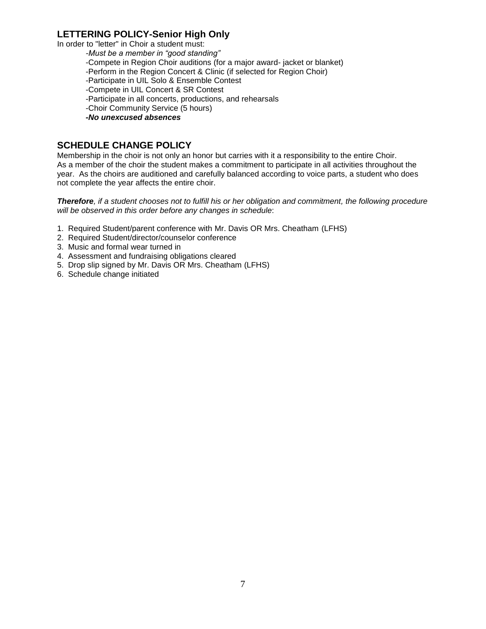## **LETTERING POLICY-Senior High Only**

In order to "letter" in Choir a student must:

*-Must be a member in "good standing"* -Compete in Region Choir auditions (for a major award- jacket or blanket) -Perform in the Region Concert & Clinic (if selected for Region Choir) -Participate in UIL Solo & Ensemble Contest -Compete in UIL Concert & SR Contest -Participate in all concerts, productions, and rehearsals -Choir Community Service (5 hours) *-No unexcused absences*

## **SCHEDULE CHANGE POLICY**

Membership in the choir is not only an honor but carries with it a responsibility to the entire Choir. As a member of the choir the student makes a commitment to participate in all activities throughout the year. As the choirs are auditioned and carefully balanced according to voice parts, a student who does not complete the year affects the entire choir.

*Therefore, if a student chooses not to fulfill his or her obligation and commitment, the following procedure will be observed in this order before any changes in schedule*:

- 1. Required Student/parent conference with Mr. Davis OR Mrs. Cheatham (LFHS)
- 2. Required Student/director/counselor conference
- 3. Music and formal wear turned in
- 4. Assessment and fundraising obligations cleared
- 5. Drop slip signed by Mr. Davis OR Mrs. Cheatham (LFHS)
- 6. Schedule change initiated